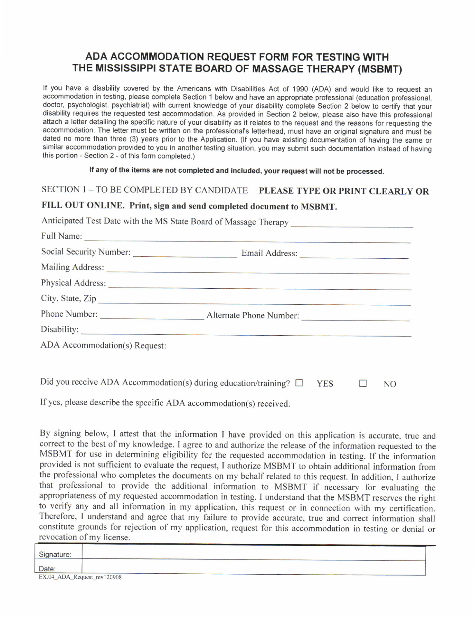## ADA ACCOMMODATION REQUEST FORM FOR TESTING WITH THE MISSISSIPPI STATE BOARD OF MASSAGE THERAPY (MSBMT)

If you have a disability covered by the Americans with Disabilities Act of 1990 (ADA) and would like to request an accommodation in testing, please complete Section 1 below and have an appropriate professional (education professional, doctor, psychologist, psychiatrist) with current knowledge of your disability complete Section 2 below to certify that your disability requires the requested test accommodation. As provided in Section 2 below, please also have this professional attach a letter detailing the specific nature of your disability as it relates to the request and the reasons for requesting the accommodation. The letter must be written on the professional's letterhead, must have an original signature and must be dated no more than three (3) years prior to the Application. (If you have existing documentation of having the same or similar accommodation provided to you in another testing situation, you may submit such documentation instead of having this portion - Section 2 - of this form completed.)

If any of the items are not completed and included, your request will not be processed.

SECTION 1 - TO BE COMPLETED BY CANDIDATE PLEASE TYPE OR PRINT CLEARLY OR

## FILL OUT ONLINE. Print, sign and send completed document to MSBMT.

Anticipated Test Date with the MS State Board of Massage Therapy

|                               | Full Name:                                   |  |
|-------------------------------|----------------------------------------------|--|
| Social Security Number:       | Email Address:                               |  |
|                               |                                              |  |
|                               |                                              |  |
|                               | City, State, Zip                             |  |
|                               | Phone Number: <u>Alternate Phone Number:</u> |  |
|                               |                                              |  |
| ADA Accommodation(s) Request: |                                              |  |
|                               |                                              |  |
|                               |                                              |  |

Did you receive ADA Accommodation(s) during education/training?  $\square$  $YES \tN0$ 

If yes. please describe the specific ADA accommodation(s) received.

revocation of mv license. By signing below, I attest that the information I have provided on this application is accurate, true and correct to the best of my knowledge. I agree to and authorize the release of the information requested to the MSBMT for use in determining eligibility for the requested accommodation in testing. If the information provided is not sufficient to evaluate the request, I authorize MSBMT to obtain additional information from the professional who completes the documents on my behalf related to this request. In addition, I authorize that professional to provide the additional information to MSBMT if necessary for evaluating the appropriateness of my requested accommodation in testing. I understand that the MSBMT reserves the right to verify any and all information in my application, this request or in connection with my certification. Therefore, I understand and agree that my failure to provide accurate, true and correct information shall constitute grounds for rejection of my application, request for this accommodation in testing or denial or

| Signature:                  |  |
|-----------------------------|--|
| Date:                       |  |
| EX.04_ADA_Request_rev120908 |  |